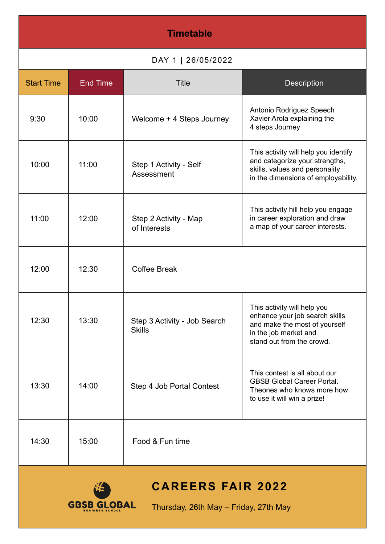| <b>Timetable</b>                                                                        |                 |                                               |                                                                                                                                                      |  |
|-----------------------------------------------------------------------------------------|-----------------|-----------------------------------------------|------------------------------------------------------------------------------------------------------------------------------------------------------|--|
| DAY 1   26/05/2022                                                                      |                 |                                               |                                                                                                                                                      |  |
| <b>Start Time</b>                                                                       | <b>End Time</b> | <b>Title</b>                                  | <b>Description</b>                                                                                                                                   |  |
| 9:30                                                                                    | 10:00           | Welcome + 4 Steps Journey                     | Antonio Rodriguez Speech<br>Xavier Arola explaining the<br>4 steps Journey                                                                           |  |
| 10:00                                                                                   | 11:00           | Step 1 Activity - Self<br>Assessment          | This activity will help you identify<br>and categorize your strengths,<br>skills, values and personality<br>in the dimensions of employability.      |  |
| 11:00                                                                                   | 12:00           | Step 2 Activity - Map<br>of Interests         | This activity hill help you engage<br>in career exploration and draw<br>a map of your career interests.                                              |  |
| 12:00                                                                                   | 12:30           | <b>Coffee Break</b>                           |                                                                                                                                                      |  |
| 12:30                                                                                   | 13:30           | Step 3 Activity - Job Search<br><b>Skills</b> | This activity will help you<br>enhance your job search skills<br>and make the most of yourself<br>in the job market and<br>stand out from the crowd. |  |
| 13:30                                                                                   | 14:00           | Step 4 Job Portal Contest                     | This contest is all about our<br><b>GBSB Global Career Portal.</b><br>Theones who knows more how<br>to use it will win a prize!                      |  |
| 14:30                                                                                   | 15:00           | Food & Fun time                               |                                                                                                                                                      |  |
| <b>CAREERS FAIR 2022</b><br><b>GBSB GLOBAL</b><br>Thursday, 26th May - Friday, 27th May |                 |                                               |                                                                                                                                                      |  |